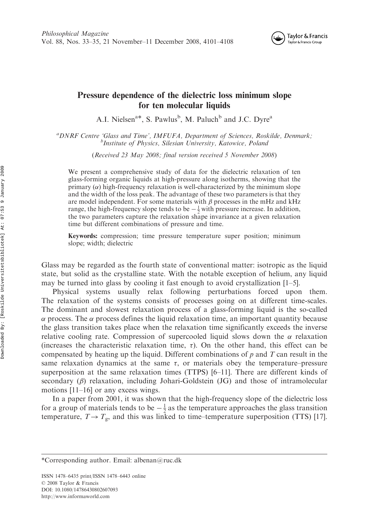

## Pressure dependence of the dielectric loss minimum slope for ten molecular liquids

A.I. Nielsen<sup>a\*</sup>, S. Pawlus<sup>b</sup>, M. Paluch<sup>b</sup> and J.C. Dyre<sup>a</sup>

<sup>a</sup>DNRF Centre 'Glass and Time', IMFUFA, Department of Sciences, Roskilde, Denmark;  ${}^b$ Institute of Physics, Silesian University, Katowice, Poland

(Received 23 May 2008; final version received 5 November 2008)

We present a comprehensive study of data for the dielectric relaxation of ten glass-forming organic liquids at high-pressure along isotherms, showing that the primary  $(\alpha)$  high-frequency relaxation is well-characterized by the minimum slope and the width of the loss peak. The advantage of these two parameters is that they are model independent. For some materials with  $\beta$  processes in the mHz and kHz range, the high-frequency slope tends to be  $-\frac{1}{2}$  with pressure increase. In addition, the two parameters capture the relaxation shape invariance at a given relaxation time but different combinations of pressure and time.

Keywords: compression; time pressure temperature super position; minimum slope; width; dielectric

Glass may be regarded as the fourth state of conventional matter: isotropic as the liquid state, but solid as the crystalline state. With the notable exception of helium, any liquid may be turned into glass by cooling it fast enough to avoid crystallization  $[1-5]$ .

Physical systems usually relax following perturbations forced upon them. The relaxation of the systems consists of processes going on at different time-scales. The dominant and slowest relaxation process of a glass-forming liquid is the so-called  $\alpha$  process. The  $\alpha$  process defines the liquid relaxation time, an important quantity because the glass transition takes place when the relaxation time significantly exceeds the inverse relative cooling rate. Compression of supercooled liquid slows down the  $\alpha$  relaxation (increases the characteristic relaxation time,  $\tau$ ). On the other hand, this effect can be compensated by heating up the liquid. Different combinations of  $p$  and  $T$  can result in the same relaxation dynamics at the same  $\tau$ , or materials obey the temperature–pressure superposition at the same relaxation times (TTPS) [6–11]. There are different kinds of secondary  $(\beta)$  relaxation, including Johari-Goldstein (JG) and those of intramolecular motions [11–16] or any excess wings.

In a paper from 2001, it was shown that the high-frequency slope of the dielectric loss for a group of materials tends to be  $-\frac{1}{2}$  as the temperature approaches the glass transition temperature,  $T \rightarrow T_{g}$ , and this was linked to time–temperature superposition (TTS) [17].

ISSN 1478–6435 print/ISSN 1478–6443 online © 2008 Taylor & Francis DOI: 10.1080/14786430802607093 http://www.informaworld.com

<sup>\*</sup>Corresponding author. Email: albenan@ruc.dk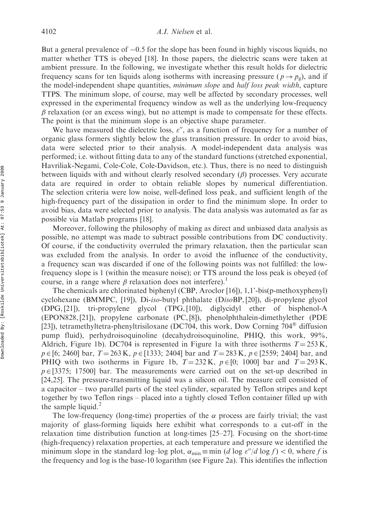But a general prevalence of  $-0.5$  for the slope has been found in highly viscous liquids, no matter whether TTS is obeyed [18]. In those papers, the dielectric scans were taken at ambient pressure. In the following, we investigate whether this result holds for dielectric frequency scans for ten liquids along isotherms with increasing pressure ( $p \rightarrow p_g$ ), and if the model-independent shape quantities, *minimum slope* and *half loss peak width*, capture TTPS. The minimum slope, of course, may well be affected by secondary processes, well expressed in the experimental frequency window as well as the underlying low-frequency  $\beta$  relaxation (or an excess wing), but no attempt is made to compensate for these effects. The point is that the minimum slope is an objective shape parameter.

We have measured the dielectric loss,  $\varepsilon''$ , as a function of frequency for a number of organic glass formers slightly below the glass transition pressure. In order to avoid bias, data were selected prior to their analysis. A model-independent data analysis was performed; i.e. without fitting data to any of the standard functions (stretched exponential, Havriliak-Negami, Cole-Cole, Cole-Davidson, etc.). Thus, there is no need to distinguish between liquids with and without clearly resolved secondary  $(\beta)$  processes. Very accurate data are required in order to obtain reliable slopes by numerical differentiation. The selection criteria were low noise, well-defined loss peak, and sufficient length of the high-frequency part of the dissipation in order to find the minimum slope. In order to avoid bias, data were selected prior to analysis. The data analysis was automated as far as possible via Matlab programs [18].

Moreover, following the philosophy of making as direct and unbiased data analysis as possible, no attempt was made to subtract possible contributions from DC conductivity. Of course, if the conductivity overruled the primary relaxation, then the particular scan was excluded from the analysis. In order to avoid the influence of the conductivity, a frequency scan was discarded if one of the following points was not fulfilled: the lowfrequency slope is 1 (within the measure noise); or TTS around the loss peak is obeyed (of course, in a range where  $\beta$  relaxation does not interfere).<sup>1</sup>

The chemicals are chlorinated biphenyl (CBP, Aroclor [16]), 1,1'-bis(p-methoxyphenyl) cyclohexane (BMMPC, [19]), Di-iso-butyl phthalate (DisoBP, [20]), di-propylene glycol (DPG, [21]), tri-propylene glycol (TPG, [10]), diglycidyl ether of bisphenol-A (EPON828, [21]), propylene carbonate (PC, [8]), phenolphthalein-dimethylether (PDE [23]), tetramethyltetra-phenyltrisiloxane (DC704, this work, Dow Corning 704 $\textdegree$  diffusion pump fluid), perhydroisoquinoline (decahydroisoquinoline, PHIQ, this work, 99%, Aldrich, Figure 1b). DC704 is represented in Figure 1a with three isotherms  $T = 253 \text{ K}$ ,  $p \in [6; 2460]$  bar,  $T = 263$  K,  $p \in [1333; 2404]$  bar and  $T = 283$  K,  $p \in [2559; 2404]$  bar, and PHIQ with two isotherms in Figure 1b,  $T = 232$  K,  $p \in [0; 1000]$  bar and  $T = 293$  K,  $p \in [3375; 17500]$  bar. The measurements were carried out on the set-up described in [24,25]. The pressure-transmitting liquid was a silicon oil. The measure cell consisted of a capacitor – two parallel parts of the steel cylinder, separated by Teflon stripes and kept together by two Teflon rings – placed into a tightly closed Teflon container filled up with the sample liquid. $^{2}$ 

The low-frequency (long-time) properties of the  $\alpha$  process are fairly trivial; the vast majority of glass-forming liquids here exhibit what corresponds to a cut-off in the relaxation time distribution function at long-times [25–27]. Focusing on the short-time (high-frequency) relaxation properties, at each temperature and pressure we identified the minimum slope in the standard log-log plot,  $\alpha_{\min} \equiv \min (d \log \varepsilon''/d \log f) < 0$ , where f is the frequency and log is the base-10 logarithm (see Figure 2a). This identifies the inflection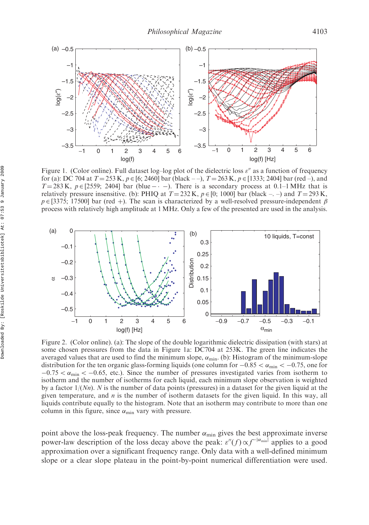

Figure 1. (Color online). Full dataset log–log plot of the dielectric loss  $\varepsilon''$  as a function of frequency for (a): DC 704 at  $T = 253$  K,  $p \in [6; 2460]$  bar (black  $-$ ),  $T = 263$  K,  $p \in [1333; 2404]$  bar (red  $-$ ), and  $T = 283$  K,  $p \in [2559; 2404]$  bar (blue  $- \cdot -$ ). There is a secondary process at 0.1–1 MHz that is relatively pressure insensitive. (b): PHIQ at  $T = 232$  K,  $p \in [0; 1000]$  bar (black –...) and  $T = 293$  K,  $p \in [3375; 17500]$  bar (red +). The scan is characterized by a well-resolved pressure-independent  $\beta$ process with relatively high amplitude at 1MHz. Only a few of the presented are used in the analysis.



Figure 2. (Color online). (a): The slope of the double logarithmic dielectric dissipation (with stars) at some chosen pressures from the data in Figure 1a: DC704 at 253K. The green line indicates the averaged values that are used to find the minimum slope,  $\alpha_{\min}$ . (b): Histogram of the minimum-slope distribution for the ten organic glass-forming liquids (one column for  $-0.85 < \alpha_{\min} < -0.75$ , one for  $-0.75 < \alpha_{\text{min}} < -0.65$ , etc.). Since the number of pressures investigated varies from isotherm to isotherm and the number of isotherms for each liquid, each minimum slope observation is weighted by a factor  $1/(Nn)$ . N is the number of data points (pressures) in a dataset for the given liquid at the given temperature, and  $n$  is the number of isotherm datasets for the given liquid. In this way, all liquids contribute equally to the histogram. Note that an isotherm may contribute to more than one column in this figure, since  $\alpha_{\min}$  vary with pressure.

point above the loss-peak frequency. The number  $\alpha_{\min}$  gives the best approximate inverse power-law description of the loss decay above the peak:  $\varepsilon''(f) \propto f^{-|\alpha_{min}|}$  applies to a good approximation over a significant frequency range. Only data with a well-defined minimum slope or a clear slope plateau in the point-by-point numerical differentiation were used.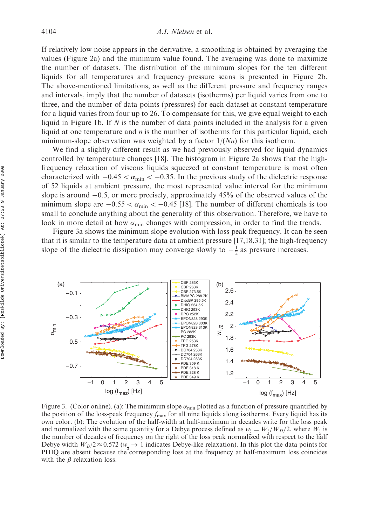If relatively low noise appears in the derivative, a smoothing is obtained by averaging the values (Figure 2a) and the minimum value found. The averaging was done to maximize the number of datasets. The distribution of the minimum slopes for the ten different liquids for all temperatures and frequency–pressure scans is presented in Figure 2b. The above-mentioned limitations, as well as the different pressure and frequency ranges and intervals, imply that the number of datasets (isotherms) per liquid varies from one to three, and the number of data points (pressures) for each dataset at constant temperature for a liquid varies from four up to 26. To compensate for this, we give equal weight to each liquid in Figure 1b. If  $N$  is the number of data points included in the analysis for a given liquid at one temperature and  $n$  is the number of isotherms for this particular liquid, each minimum-slope observation was weighted by a factor  $1/(Nn)$  for this isotherm.

We find a slightly different result as we had previously observed for liquid dynamics controlled by temperature changes [18]. The histogram in Figure 2a shows that the highfrequency relaxation of viscous liquids squeezed at constant temperature is most often characterized with  $-0.45 < \alpha_{\min} < -0.35$ . In the previous study of the dielectric response of 52 liquids at ambient pressure, the most represented value interval for the minimum slope is around  $-0.5$ , or more precisely, approximately 45% of the observed values of the minimum slope are  $-0.55 < \alpha_{\min} < -0.45$  [18]. The number of different chemicals is too small to conclude anything about the generality of this observation. Therefore, we have to look in more detail at how  $\alpha_{\min}$  changes with compression, in order to find the trends.

Figure 3a shows the minimum slope evolution with loss peak frequency. It can be seen that it is similar to the temperature data at ambient pressure [17,18,31]; the high-frequency slope of the dielectric dissipation may converge slowly to  $-\frac{1}{2}$  as pressure increases.



Figure 3. (Color online). (a): The minimum slope  $\alpha_{\min}$  plotted as a function of pressure quantified by the position of the loss-peak frequency  $f_{\text{max}}$  for all nine liquids along isotherms. Every liquid has its own color. (b): The evolution of the half-width at half-maximum in decades write for the loss peak and normalized with the same quantity for a Debye process defined as  $w_1 = W_1/W_D/2$ , where  $W_1$  is the number of decades of frequency on the right of the loss peak normalized with respect to the half Debye width  $W_D/2 \approx 0.572 \ (\omega_1 \to 1)$  indicates Debye-like relaxation). In this plot the data points for PHIQ are absent because the corresponding loss at the frequency at half-maximum loss coincides with the  $\beta$  relaxation loss.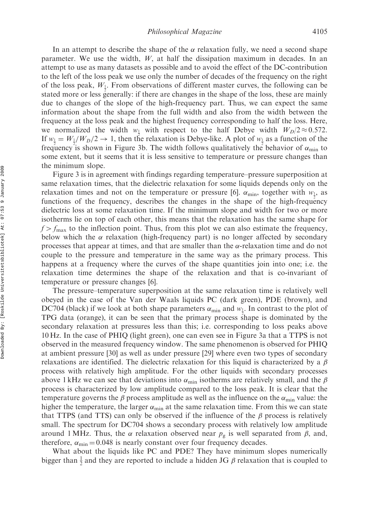In an attempt to describe the shape of the  $\alpha$  relaxation fully, we need a second shape parameter. We use the width,  $W$ , at half the dissipation maximum in decades. In an attempt to use as many datasets as possible and to avoid the effect of the DC-contribution to the left of the loss peak we use only the number of decades of the frequency on the right of the loss peak,  $W_1$ . From observations of different master curves, the following can be stated more or less generally: if there are changes in the shape of the loss, these are mainly due to changes of the slope of the high-frequency part. Thus, we can expect the same information about the shape from the full width and also from the width between the frequency at the loss peak and the highest frequency corresponding to half the loss. Here, we normalized the width  $w_1$  with respect to the half Debye width  $W_D/2 \approx 0.572$ . If  $w_1 = W_1/W_D/2 \rightarrow 1$ , then the relaxation is Debye-like. A plot of  $w_1$  as a function of the frequency is shown in Figure 3b. The width follows qualitatively the behavior of  $\alpha_{\min}$  to some extent, but it seems that it is less sensitive to temperature or pressure changes than the minimum slope.

Figure 3 is in agreement with findings regarding temperature–pressure superposition at same relaxation times, that the dielectric relaxation for some liquids depends only on the relaxation times and not on the temperature or pressure [6].  $\alpha_{\min}$ , together with  $w_{\frac{1}{2}}$ , as functions of the frequency, describes the changes in the shape of the high-frequency dielectric loss at some relaxation time. If the minimum slope and width for two or more isotherms lie on top of each other, this means that the relaxation has the same shape for  $f > f_{\text{max}}$  to the inflection point. Thus, from this plot we can also estimate the frequency, below which the  $\alpha$  relaxation (high-frequency part) is no longer affected by secondary processes that appear at times, and that are smaller than the  $\alpha$ -relaxation time and do not couple to the pressure and temperature in the same way as the primary process. This happens at a frequency where the curves of the shape quantities join into one; i.e. the relaxation time determines the shape of the relaxation and that is co-invariant of temperature or pressure changes [6].

The pressure–temperature superposition at the same relaxation time is relatively well obeyed in the case of the Van der Waals liquids PC (dark green), PDE (brown), and DC704 (black) if we look at both shape parameters  $\alpha_{\min}$  and  $w_{\frac{1}{2}}$ . In contrast to the plot of TPG data (orange), it can be seen that the primary process shape is dominated by the secondary relaxation at pressures less than this; i.e. corresponding to loss peaks above 10 Hz. In the case of PHIQ (light green), one can even see in Figure 3a that a TTPS is not observed in the measured frequency window. The same phenomenon is observed for PHIQ at ambient pressure [30] as well as under pressure [29] where even two types of secondary relaxations are identified. The dielectric relaxation for this liquid is characterized by a  $\beta$ process with relatively high amplitude. For the other liquids with secondary processes above 1 kHz we can see that deviations into  $\alpha_{\min}$  isotherms are relatively small, and the  $\beta$ process is characterized by low amplitude compared to the loss peak. It is clear that the temperature governs the  $\beta$  process amplitude as well as the influence on the  $\alpha_{\min}$  value: the higher the temperature, the larger  $\alpha_{\min}$  at the same relaxation time. From this we can state that TTPS (and TTS) can only be observed if the influence of the  $\beta$  process is relatively small. The spectrum for DC704 shows a secondary process with relatively low amplitude around 1 MHz. Thus, the  $\alpha$  relaxation observed near  $p_{\rm g}$  is well separated from  $\beta$ , and, therefore,  $\alpha_{\min} = 0.048$  is nearly constant over four frequency decades.

What about the liquids like PC and PDE? They have minimum slopes numerically bigger than  $\frac{1}{2}$  and they are reported to include a hidden JG  $\beta$  relaxation that is coupled to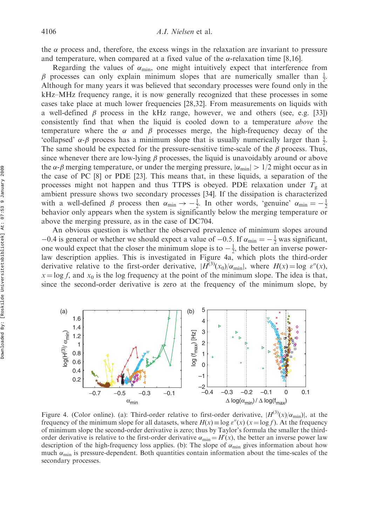the  $\alpha$  process and, therefore, the excess wings in the relaxation are invariant to pressure and temperature, when compared at a fixed value of the  $\alpha$ -relaxation time [8,16].

Regarding the values of  $\alpha_{\min}$ , one might intuitively expect that interference from  $\beta$  processes can only explain minimum slopes that are numerically smaller than  $\frac{1}{2}$ . Although for many years it was believed that secondary processes were found only in the kHz–MHz frequency range, it is now generally recognized that these processes in some cases take place at much lower frequencies [28,32]. From measurements on liquids with a well-defined  $\beta$  process in the kHz range, however, we and others (see, e.g. [33]) consistently find that when the liquid is cooled down to a temperature above the temperature where the  $\alpha$  and  $\beta$  processes merge, the high-frequency decay of the 'collapsed'  $\alpha$ - $\beta$  process has a minimum slope that is usually numerically larger than  $\frac{1}{2}$ . The same should be expected for the pressure-sensitive time-scale of the  $\beta$  process. Thus, since whenever there are low-lying  $\beta$  processes, the liquid is unavoidably around or above the  $\alpha$ - $\beta$  merging temperature, or under the merging pressure,  $|\alpha_{\min}| > 1/2$  might occur as in the case of PC [8] or PDE [23]. This means that, in these liquids, a separation of the processes might not happen and thus TTPS is obeyed. PDE relaxation under  $T<sub>g</sub>$  at ambient pressure shows two secondary processes [34]. If the dissipation is characterized with a well-defined  $\beta$  process then  $\alpha_{\min} \rightarrow -\frac{1}{2}$ . In other words, 'genuine'  $\alpha_{\min} = -\frac{1}{2}$ behavior only appears when the system is significantly below the merging temperature or above the merging pressure, as in the case of DC704.

An obvious question is whether the observed prevalence of minimum slopes around  $-0.4$  is general or whether we should expect a value of  $-0.5$ . If  $\alpha_{\min} = -\frac{1}{2}$  was significant, one would expect that the closer the minimum slope is to  $-\frac{1}{2}$ , the better an inverse powerlaw description applies. This is investigated in Figure 4a, which plots the third-order derivative relative to the first-order derivative,  $|H^{(3)}(x_0)/\alpha_{\min}|$ , where  $H(x) = \log \varepsilon''(x)$ ,  $x = \log f$ , and  $x_0$  is the log frequency at the point of the minimum slope. The idea is that, since the second-order derivative is zero at the frequency of the minimum slope, by



Figure 4. (Color online). (a): Third-order relative to first-order derivative,  $|H^{(3)}(x)|\alpha_{\min}|$ , at the frequency of the minimum slope for all datasets, where  $H(x) \equiv \log \varepsilon''(x)$  ( $x = \log f$ ). At the frequency of minimum slope the second-order derivative is zero; thus by Taylor's formula the smaller the thirdorder derivative is relative to the first-order derivative  $\alpha_{\min} = H'(x)$ , the better an inverse power law description of the high-frequency loss applies. (b): The slope of  $\alpha_{\min}$  gives information about how much  $\alpha_{\min}$  is pressure-dependent. Both quantities contain information about the time-scales of the secondary processes.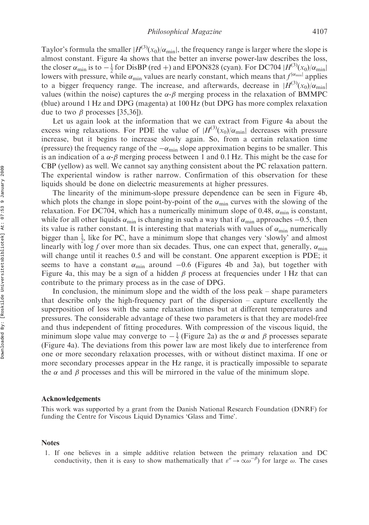Taylor's formula the smaller  $|H^{(3)}(x_0)/\alpha_{\min}|$ , the frequency range is larger where the slope is almost constant. Figure 4a shows that the better an inverse power-law describes the loss, the closer  $\alpha_{\min}$  is to  $-\frac{1}{2}$  for DisBP (red +) and EPON828 (cyan). For DC704  $|H^{(3)}(x_0)/\alpha_{\min}|$ lowers with pressure, while  $\alpha_{\min}$  values are nearly constant, which means that  $f^{|\alpha_{\min}|}$  applies to a bigger frequency range. The increase, and afterwards, decrease in  $|H^{(3)}(x_0)|\alpha_{\text{min}}|$ values (within the noise) captures the  $\alpha$ - $\beta$  merging process in the relaxation of BMMPC (blue) around 1 Hz and DPG (magenta) at 100 Hz (but DPG has more complex relaxation due to two  $\beta$  processes [35,36]).

Let us again look at the information that we can extract from Figure 4a about the excess wing relaxations. For PDE the value of  $|H^{(3)}(x_0)/\alpha_{\min}|$  decreases with pressure increase, but it begins to increase slowly again. So, from a certain relaxation time (pressure) the frequency range of the  $-\alpha_{\min}$  slope approximation begins to be smaller. This is an indication of a  $\alpha$ - $\beta$  merging process between 1 and 0.1 Hz. This might be the case for CBP (yellow) as well. We cannot say anything consistent about the PC relaxation pattern. The experiental window is rather narrow. Confirmation of this observation for these liquids should be done on dielectric measurements at higher pressures.

The linearity of the minimum-slope pressure dependence can be seen in Figure 4b, which plots the change in slope point-by-point of the  $\alpha_{\min}$  curves with the slowing of the relaxation. For DC704, which has a numerically minimum slope of 0.48,  $\alpha_{\min}$  is constant, while for all other liquids  $\alpha_{\min}$  is changing in such a way that if  $\alpha_{\min}$  approaches  $-0.5$ , then its value is rather constant. It is interesting that materials with values of  $\alpha_{\min}$  numerically bigger than  $\frac{1}{2}$ , like for PC, have a minimum slope that changes very 'slowly' and almost linearly with log f over more than six decades. Thus, one can expect that, generally,  $\alpha_{\min}$ will change until it reaches 0.5 and will be constant. One apparent exception is PDE; it seems to have a constant  $\alpha_{\min}$  around  $-0.6$  (Figures 4b and 3a), but together with Figure 4a, this may be a sign of a hidden  $\beta$  process at frequencies under 1 Hz that can contribute to the primary process as in the case of DPG.

In conclusion, the minimum slope and the width of the loss peak – shape parameters that describe only the high-frequency part of the dispersion – capture excellently the superposition of loss with the same relaxation times but at different temperatures and pressures. The considerable advantage of these two parameters is that they are model-free and thus independent of fitting procedures. With compression of the viscous liquid, the minimum slope value may converge to  $-\frac{1}{2}$  (Figure 2a) as the  $\alpha$  and  $\beta$  processes separate (Figure 4a). The deviations from this power law are most likely due to interference from one or more secondary relaxation processes, with or without distinct maxima. If one or more secondary processes appear in the Hz range, it is practically impossible to separate the  $\alpha$  and  $\beta$  processes and this will be mirrored in the value of the minimum slope.

## Acknowledgements

This work was supported by a grant from the Danish National Research Foundation (DNRF) for funding the Centre for Viscous Liquid Dynamics 'Glass and Time'.

## Notes

1. If one believes in a simple additive relation between the primary relaxation and DC conductivity, then it is easy to show mathematically that  $\varepsilon'' \to \alpha \omega^{-\beta}$  for large  $\omega$ . The cases